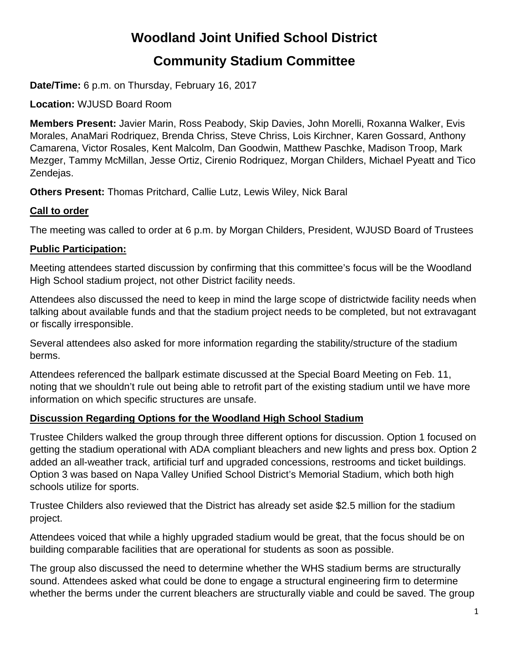# **Woodland Joint Unified School District**

# **Community Stadium Committee**

**Date/Time:** 6 p.m. on Thursday, February 16, 2017

**Location:** WJUSD Board Room

**Members Present:** Javier Marin, Ross Peabody, Skip Davies, John Morelli, Roxanna Walker, Evis Morales, AnaMari Rodriquez, Brenda Chriss, Steve Chriss, Lois Kirchner, Karen Gossard, Anthony Camarena, Victor Rosales, Kent Malcolm, Dan Goodwin, Matthew Paschke, Madison Troop, Mark Mezger, Tammy McMillan, Jesse Ortiz, Cirenio Rodriquez, Morgan Childers, Michael Pyeatt and Tico Zendejas.

**Others Present:** Thomas Pritchard, Callie Lutz, Lewis Wiley, Nick Baral

#### **Call to order**

The meeting was called to order at 6 p.m. by Morgan Childers, President, WJUSD Board of Trustees

# **Public Participation:**

Meeting attendees started discussion by confirming that this committee's focus will be the Woodland High School stadium project, not other District facility needs.

Attendees also discussed the need to keep in mind the large scope of districtwide facility needs when talking about available funds and that the stadium project needs to be completed, but not extravagant or fiscally irresponsible.

Several attendees also asked for more information regarding the stability/structure of the stadium berms.

Attendees referenced the ballpark estimate discussed at the Special Board Meeting on Feb. 11, noting that we shouldn't rule out being able to retrofit part of the existing stadium until we have more information on which specific structures are unsafe.

# **Discussion Regarding Options for the Woodland High School Stadium**

Trustee Childers walked the group through three different options for discussion. Option 1 focused on getting the stadium operational with ADA compliant bleachers and new lights and press box. Option 2 added an all-weather track, artificial turf and upgraded concessions, restrooms and ticket buildings. Option 3 was based on Napa Valley Unified School District's Memorial Stadium, which both high schools utilize for sports.

Trustee Childers also reviewed that the District has already set aside \$2.5 million for the stadium project.

Attendees voiced that while a highly upgraded stadium would be great, that the focus should be on building comparable facilities that are operational for students as soon as possible.

The group also discussed the need to determine whether the WHS stadium berms are structurally sound. Attendees asked what could be done to engage a structural engineering firm to determine whether the berms under the current bleachers are structurally viable and could be saved. The group